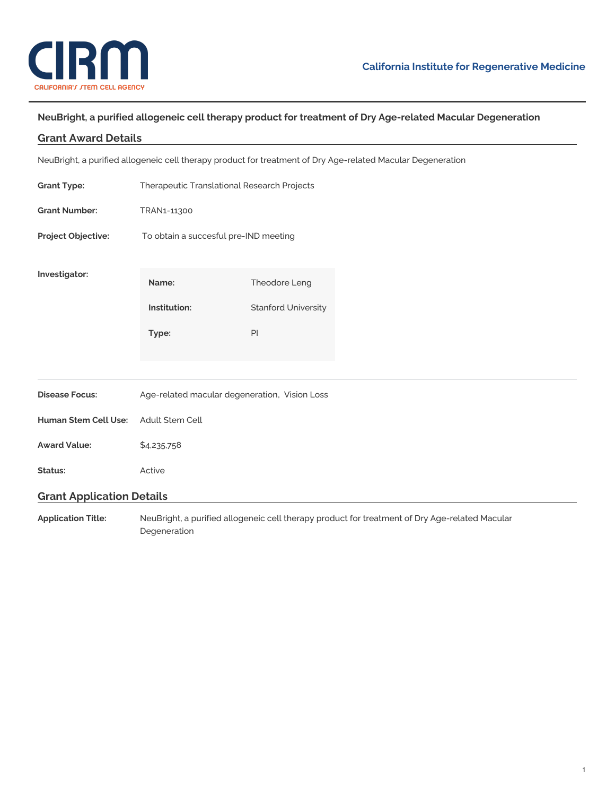

# **NeuBright, a purified allogeneic cell therapy product for treatment of Dry Age-related Macular Degeneration**

# **Grant Award Details**

NeuBright, a purified allogeneic cell therapy product for treatment of Dry Age-related Macular Degeneration

| <b>Grant Type:</b>               | Therapeutic Translational Research Projects   |                            |
|----------------------------------|-----------------------------------------------|----------------------------|
| <b>Grant Number:</b>             | TRAN1-11300                                   |                            |
| Project Objective:               | To obtain a succesful pre-IND meeting         |                            |
| Investigator:                    | Name:                                         | Theodore Leng              |
|                                  | Institution:                                  | <b>Stanford University</b> |
|                                  | Type:                                         | PI                         |
|                                  |                                               |                            |
| <b>Disease Focus:</b>            | Age-related macular degeneration, Vision Loss |                            |
| Human Stem Cell Use:             | Adult Stem Cell                               |                            |
| <b>Award Value:</b>              | \$4,235,758                                   |                            |
| Status:                          | Active                                        |                            |
| <b>Grant Application Details</b> |                                               |                            |

**Application Title:** NeuBright, a purified allogeneic cell therapy product for treatment of Dry Age-related Macular Degeneration